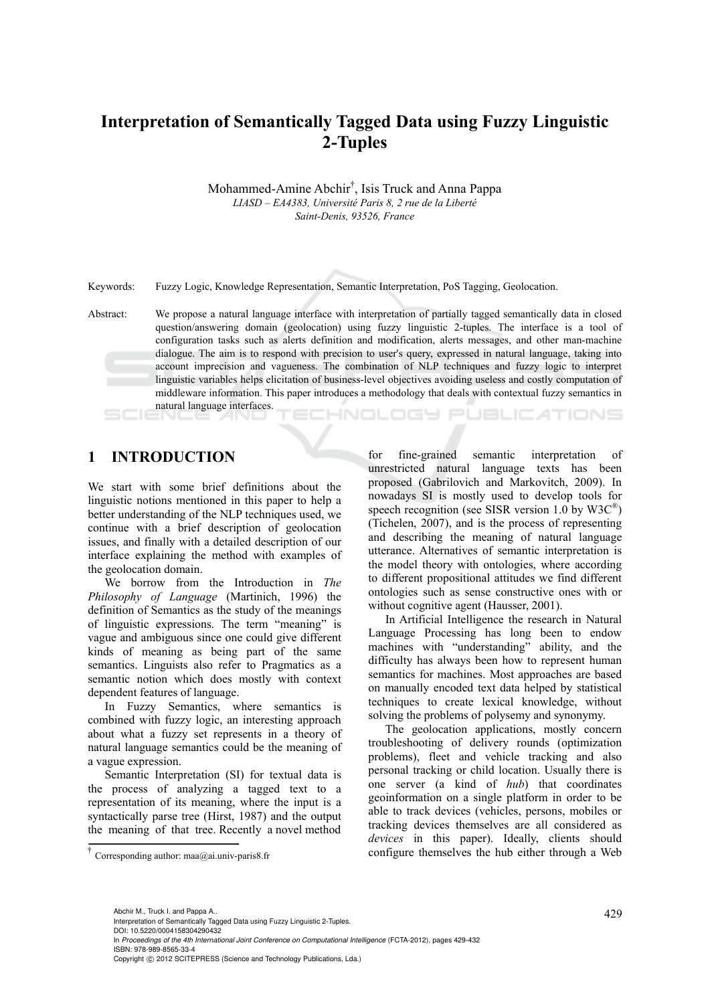# **Interpretation of Semantically Tagged Data using Fuzzy Linguistic 2-Tuples**

Mohammed-Amine Abchir† , Isis Truck and Anna Pappa *LIASD – EA4383, Université Paris 8, 2 rue de la Liberté Saint-Denis, 93526, France* 

Keywords: Fuzzy Logic, Knowledge Representation, Semantic Interpretation, PoS Tagging, Geolocation.

Abstract: We propose a natural language interface with interpretation of partially tagged semantically data in closed question/answering domain (geolocation) using fuzzy linguistic 2-tuples. The interface is a tool of configuration tasks such as alerts definition and modification, alerts messages, and other man-machine dialogue. The aim is to respond with precision to user's query, expressed in natural language, taking into account imprecision and vagueness. The combination of NLP techniques and fuzzy logic to interpret linguistic variables helps elicitation of business-level objectives avoiding useless and costly computation of middleware information. This paper introduces a methodology that deals with contextual fuzzy semantics in natural language interfaces.

# CHNOLOGY PUBLICATIONS

### **1 INTRODUCTION**

We start with some brief definitions about the linguistic notions mentioned in this paper to help a better understanding of the NLP techniques used, we continue with a brief description of geolocation issues, and finally with a detailed description of our interface explaining the method with examples of the geolocation domain.

We borrow from the Introduction in *The Philosophy of Language* (Martinich, 1996) the definition of Semantics as the study of the meanings of linguistic expressions. The term "meaning" is vague and ambiguous since one could give different kinds of meaning as being part of the same semantics. Linguists also refer to Pragmatics as a semantic notion which does mostly with context dependent features of language.

In Fuzzy Semantics, where semantics is combined with fuzzy logic, an interesting approach about what a fuzzy set represents in a theory of natural language semantics could be the meaning of a vague expression.

Semantic Interpretation (SI) for textual data is the process of analyzing a tagged text to a representation of its meaning, where the input is a syntactically parse tree (Hirst, 1987) and the output the meaning of that tree. Recently a novel method

for fine-grained semantic interpretation of unrestricted natural language texts has been proposed (Gabrilovich and Markovitch, 2009). In nowadays SI is mostly used to develop tools for speech recognition (see SISR version 1.0 by  $W3C^{\circledast}$ ) (Tichelen, 2007), and is the process of representing and describing the meaning of natural language utterance. Alternatives of semantic interpretation is the model theory with ontologies, where according to different propositional attitudes we find different ontologies such as sense constructive ones with or without cognitive agent (Hausser, 2001).

In Artificial Intelligence the research in Natural Language Processing has long been to endow machines with "understanding" ability, and the difficulty has always been how to represent human semantics for machines. Most approaches are based on manually encoded text data helped by statistical techniques to create lexical knowledge, without solving the problems of polysemy and synonymy.

The geolocation applications, mostly concern troubleshooting of delivery rounds (optimization problems), fleet and vehicle tracking and also personal tracking or child location. Usually there is one server (a kind of *hub*) that coordinates geoinformation on a single platform in order to be able to track devices (vehicles, persons, mobiles or tracking devices themselves are all considered as *devices* in this paper). Ideally, clients should  $\dagger$  Corresponding author: maa@ai.univ-paris8.fr configure themselves the hub either through a Web

Abchir M., Truck I. and Pappa A..<br>Interpretation of Semantically Tagged Data using Fuzzy Linguistic 2-Tuples. DOI: 10.5220/0004158304290432

In *Proceedings of the 4th International Joint Conference on Computational Intelligence* (FCTA-2012), pages 429-432 ISBN: 978-989-8565-33-4

Copyright © 2012 SCITEPRESS (Science and Technology Publications, Lda.)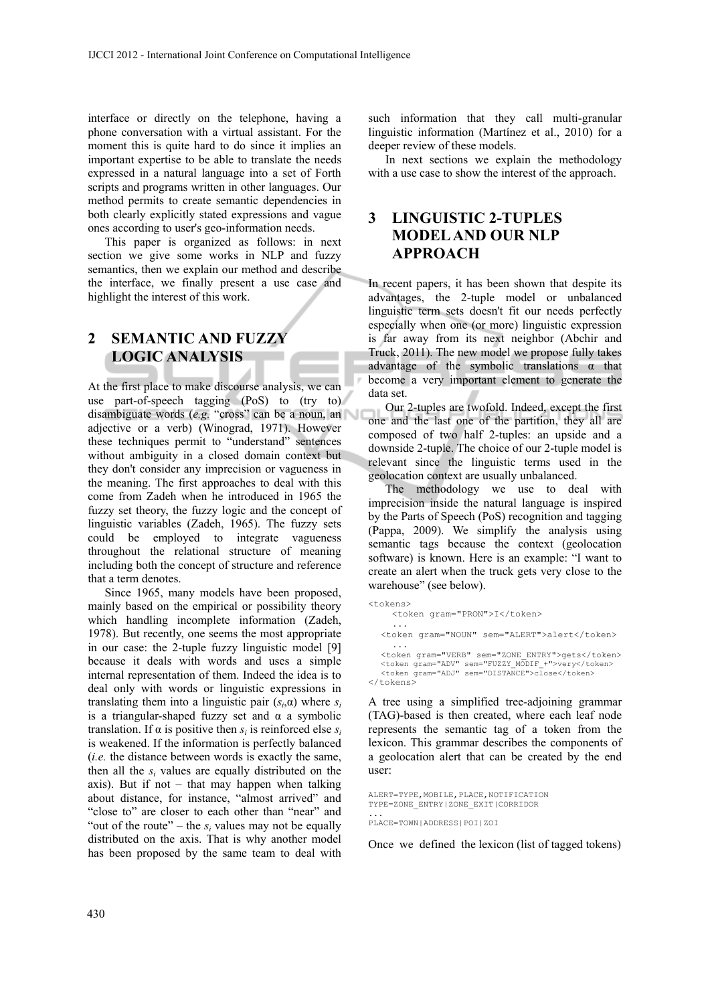interface or directly on the telephone, having a phone conversation with a virtual assistant. For the moment this is quite hard to do since it implies an important expertise to be able to translate the needs expressed in a natural language into a set of Forth scripts and programs written in other languages. Our method permits to create semantic dependencies in both clearly explicitly stated expressions and vague ones according to user's geo-information needs.

This paper is organized as follows: in next section we give some works in NLP and fuzzy semantics, then we explain our method and describe the interface, we finally present a use case and highlight the interest of this work.

# **2 SEMANTIC AND FUZZY LOGIC ANALYSIS**

At the first place to make discourse analysis, we can use part-of-speech tagging (PoS) to (try to) disambiguate words (*e.g.* "cross" can be a noun, an adjective or a verb) (Winograd, 1971). However these techniques permit to "understand" sentences without ambiguity in a closed domain context but they don't consider any imprecision or vagueness in the meaning. The first approaches to deal with this come from Zadeh when he introduced in 1965 the fuzzy set theory, the fuzzy logic and the concept of linguistic variables (Zadeh, 1965). The fuzzy sets could be employed to integrate vagueness throughout the relational structure of meaning including both the concept of structure and reference that a term denotes.

Since 1965, many models have been proposed, mainly based on the empirical or possibility theory which handling incomplete information (Zadeh, 1978). But recently, one seems the most appropriate in our case: the 2-tuple fuzzy linguistic model [9] because it deals with words and uses a simple internal representation of them. Indeed the idea is to deal only with words or linguistic expressions in translating them into a linguistic pair  $(s_i, \alpha)$  where  $s_i$ is a triangular-shaped fuzzy set and  $\alpha$  a symbolic translation. If  $\alpha$  is positive then  $s_i$  is reinforced else  $s_i$ is weakened. If the information is perfectly balanced (*i.e.* the distance between words is exactly the same, then all the  $s_i$  values are equally distributed on the axis). But if not – that may happen when talking about distance, for instance, "almost arrived" and "close to" are closer to each other than "near" and "out of the route" – the  $s_i$  values may not be equally distributed on the axis. That is why another model has been proposed by the same team to deal with

such information that they call multi-granular linguistic information (Martínez et al., 2010) for a deeper review of these models.

In next sections we explain the methodology with a use case to show the interest of the approach.

## **3 LINGUISTIC 2-TUPLES MODEL AND OUR NLP APPROACH**

In recent papers, it has been shown that despite its advantages, the 2-tuple model or unbalanced linguistic term sets doesn't fit our needs perfectly especially when one (or more) linguistic expression is far away from its next neighbor (Abchir and Truck, 2011). The new model we propose fully takes advantage of the symbolic translations  $\alpha$  that become a very important element to generate the data set.

Our 2-tuples are twofold. Indeed, except the first one and the last one of the partition, they all are composed of two half 2-tuples: an upside and a downside 2-tuple. The choice of our 2-tuple model is relevant since the linguistic terms used in the geolocation context are usually unbalanced.

The methodology we use to deal with imprecision inside the natural language is inspired by the Parts of Speech (PoS) recognition and tagging (Pappa, 2009). We simplify the analysis using semantic tags because the context (geolocation software) is known. Here is an example: "I want to create an alert when the truck gets very close to the warehouse" (see below).

```
<tokens> 
      <token gram="PRON">I</token> 
    ... 
   <token gram="NOUN" sem="ALERT">alert</token> 
    ... 
   <token gram="VERB" sem="ZONE_ENTRY">gets</token> 
   <token gram="ADV" sem="FUZZY_MODIF_+">very</token> 
<token gram="ADJ" sem="DISTANCE">close</token> 
</tokens>
```
A tree using a simplified tree-adjoining grammar (TAG)-based is then created, where each leaf node represents the semantic tag of a token from the lexicon. This grammar describes the components of a geolocation alert that can be created by the end user:

```
ALERT=TYPE,MOBILE,PLACE,NOTIFICATION 
TYPE=ZONE_ENTRY|ZONE_EXIT|CORRIDOR
```
... PLACE=TOWN|ADDRESS|POI|ZOI

Once we defined the lexicon (list of tagged tokens)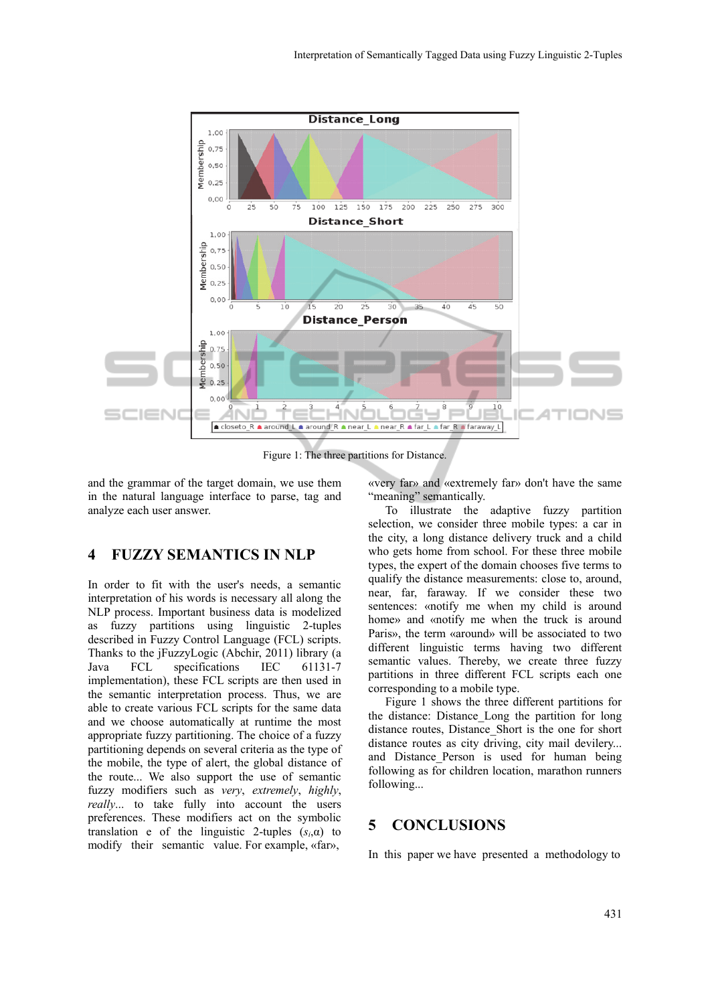

Figure 1: The three partitions for Distance.

and the grammar of the target domain, we use them in the natural language interface to parse, tag and analyze each user answer.

### **4 FUZZY SEMANTICS IN NLP**

In order to fit with the user's needs, a semantic interpretation of his words is necessary all along the NLP process. Important business data is modelized as fuzzy partitions using linguistic 2-tuples described in Fuzzy Control Language (FCL) scripts. Thanks to the jFuzzyLogic (Abchir, 2011) library (a Java FCL specifications IEC 61131-7 implementation), these FCL scripts are then used in the semantic interpretation process. Thus, we are able to create various FCL scripts for the same data and we choose automatically at runtime the most appropriate fuzzy partitioning. The choice of a fuzzy partitioning depends on several criteria as the type of the mobile, the type of alert, the global distance of the route... We also support the use of semantic fuzzy modifiers such as *very*, *extremely*, *highly*, *really*... to take fully into account the users preferences. These modifiers act on the symbolic translation e of the linguistic 2-tuples (*si*,α) to modify their semantic value. For example, «far»,

«very far» and «extremely far» don't have the same "meaning" semantically.

To illustrate the adaptive fuzzy partition selection, we consider three mobile types: a car in the city, a long distance delivery truck and a child who gets home from school. For these three mobile types, the expert of the domain chooses five terms to qualify the distance measurements: close to, around, near, far, faraway. If we consider these two sentences: «notify me when my child is around home» and «notify me when the truck is around Paris», the term «around» will be associated to two different linguistic terms having two different semantic values. Thereby, we create three fuzzy partitions in three different FCL scripts each one corresponding to a mobile type.

Figure 1 shows the three different partitions for the distance: Distance\_Long the partition for long distance routes, Distance\_Short is the one for short distance routes as city driving, city mail devilery... and Distance Person is used for human being following as for children location, marathon runners following...

### **5 CONCLUSIONS**

In this paper we have presented a methodology to